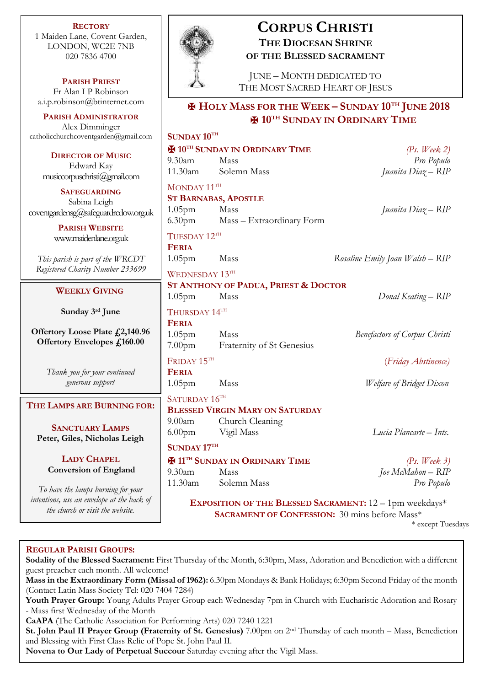**RECTORY** 1 Maiden Lane, Covent Garden, LONDON, WC2E 7NB 020 7836 4700

**PARISH PRIEST** Fr Alan I P Robinson [a.i.p.robinson@btinternet.com](mailto:a.i.p.robinson@btinternet.com)

**PARISH ADMINISTRATOR** Alex Dimminger [catholicchurchcoventgarden@gmail.com](mailto:catholicchurchcoventgarden@gmail.com)

> **DIRECTOR OF MUSIC** Edward Kay musiccorpuschristi@gmail.com

**SAFEGUARDING** Sabina Leigh [coventgardensg@safeguardrcdow.org.uk](mailto:coventgardensg@safeguardrcdow.org.uk)

> **PARISH WEBSITE** [www.maidenlane.org.uk](http://www.maidenlane.org.uk/)

*This parish is part of the WRCDT Registered Charity Number 233699*

## **WEEKLY GIVING**

**Sunday 3 rd June** 

**Offertory Loose Plate £2,140.96 Offertory Envelopes £160.00**

> *Thank you for your continued generous support*

## **THE LAMPS ARE BURNING FOR:**

**SANCTUARY LAMPS Peter, Giles, Nicholas Leigh**

> **LADY CHAPEL Conversion of England**

*To have the lamps burning for your intentions, use an envelope at the back of the church or visit the website.*



# **CORPUS CHRISTI THE DIOCESAN SHRINE OF THE BLESSED SACRAMENT**

JUNE – MONTH DEDICATED TO THE MOST SACRED HEART OF JESUS

# ✠ **HOLY MASS FOR THE WEEK – SUNDAY 10TH JUNE 2018** ✠ **10TH SUNDAY IN ORDINARY TIME**

## **SUNDAY 10TH** ✠ **10TH SUNDAY IN ORDINARY TIME** *(Ps. Week 2)* 9.30am Mass *Pro Populo* 11.30am Solemn Mass *Juanita Diaz – RIP* MONDAY 11TH **ST BARNABAS, APOSTLE** 1.05pm Mass *Juanita Diaz – RIP* 6.30pm Mass – Extraordinary Form TUESDAY 12TH **FERIA** 1.05pm Mass *Rosaline Emily Joan Walsh – RIP* WEDNESDAY 13TH **ST ANTHONY OF PADUA, PRIEST & DOCTOR** 1.05pm Mass *Donal Keating – RIP* THURSDAY 14TH **FERIA** 1.05pm Mass *Benefactors of Corpus Christi* 7.00pm Fraternity of St Genesius FRIDAY 15TH (*Friday Abstinence)* **FERIA** 1.05pm Mass *Welfare of Bridget Dixon* SATURDAY 16TH **BLESSED VIRGIN MARY ON SATURDAY** 9.00am Church Cleaning 6.00pm Vigil Mass *Lucia Plancarte – Ints.* **SUNDAY 17TH** ✠ **11TH SUNDAY IN ORDINARY TIME** *(Ps. Week 3)* 9.30am Mass *Joe McMahon – RIP* 11.30am Solemn Mass *Pro Populo* **EXPOSITION OF THE BLESSED SACRAMENT:** 12 – 1pm weekdays\*

**SACRAMENT OF CONFESSION:** 30 mins before Mass\*

\* except Tuesdays

## **REGULAR PARISH GROUPS:**

**Sodality of the Blessed Sacrament:** First Thursday of the Month, 6:30pm, Mass, Adoration and Benediction with a different guest preacher each month. All welcome! **Mass in the Extraordinary Form (Missal of 1962):** 6.30pm Mondays & Bank Holidays; 6:30pm Second Friday of the month (Contact Latin Mass Society Tel: 020 7404 7284) **Youth Prayer Group:** Young Adults Prayer Group each Wednesday 7pm in Church with Eucharistic Adoration and Rosary - Mass first Wednesday of the Month **CaAPA** (The Catholic Association for Performing Arts) 020 7240 1221 **St. John Paul II Prayer Group (Fraternity of St. Genesius)** 7.00pm on 2nd Thursday of each month – Mass, Benediction and Blessing with First Class Relic of Pope St. John Paul II.

**Novena to Our Lady of Perpetual Succour** Saturday evening after the Vigil Mass.